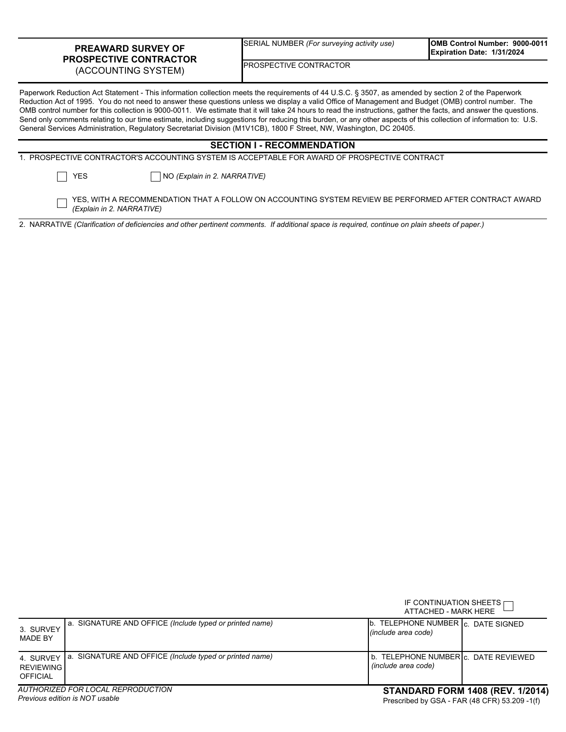## **PREAWARD SURVEY OF PROSPECTIVE CONTRACTOR**  (ACCOUNTING SYSTEM)

SERIAL NUMBER *(For surveying activity use)*

**OMB Control Number: 9000-0011 Expiration Date: 1/31/2024**

PROSPECTIVE CONTRACTOR

Paperwork Reduction Act Statement - This information collection meets the requirements of 44 U.S.C. § 3507, as amended by section 2 of the Paperwork Reduction Act of 1995. You do not need to answer these questions unless we display a valid Office of Management and Budget (OMB) control number. The OMB control number for this collection is 9000-0011. We estimate that it will take 24 hours to read the instructions, gather the facts, and answer the questions. Send only comments relating to our time estimate, including suggestions for reducing this burden, or any other aspects of this collection of information to: U.S. General Services Administration, Regulatory Secretariat Division (M1V1CB), 1800 F Street, NW, Washington, DC 20405.

| <b>SECTION I - RECOMMENDATION</b> |                           |                                                                                                        |  |  |  |  |
|-----------------------------------|---------------------------|--------------------------------------------------------------------------------------------------------|--|--|--|--|
|                                   |                           | 1. PROSPECTIVE CONTRACTOR'S ACCOUNTING SYSTEM IS ACCEPTABLE FOR AWARD OF PROSPECTIVE CONTRACT          |  |  |  |  |
|                                   | $\Box$ Yes                | NO (Explain in 2. NARRATIVE)                                                                           |  |  |  |  |
|                                   | (Explain in 2. NARRATIVE) | YES, WITH A RECOMMENDATION THAT A FOLLOW ON ACCOUNTING SYSTEM REVIEW BE PERFORMED AFTER CONTRACT AWARD |  |  |  |  |

2. NARRATIVE *(Clarification of deficiencies and other pertinent comments. If additional space is required, continue on plain sheets of paper.)*

|                                                  |                                                         |                                                             | IF CONTINUATION SHEETS $\Box$<br>ATTACHED - MARK HERE |  |  |
|--------------------------------------------------|---------------------------------------------------------|-------------------------------------------------------------|-------------------------------------------------------|--|--|
| 3. SURVEY<br><b>MADE BY</b>                      | a. SIGNATURE AND OFFICE (Include typed or printed name) | b. TELEPHONE NUMBER C. DATE SIGNED<br>(include area code)   |                                                       |  |  |
| 4. SURVEY<br><b>REVIEWING</b><br><b>OFFICIAL</b> | a. SIGNATURE AND OFFICE (Include typed or printed name) | b. TELEPHONE NUMBERIC, DATE REVIEWED<br>(include area code) |                                                       |  |  |
| AUTHORIZED FOR LOCAL REPRODUCTION                |                                                         |                                                             | <b>STANDARD FORM 1408 (REV. 1/2014)</b>               |  |  |

*Previous edition is NOT usable*

## **STANDARD FORM 1408 (REV. 1/2014)**

Prescribed by GSA - FAR (48 CFR) 53.209 -1(f)